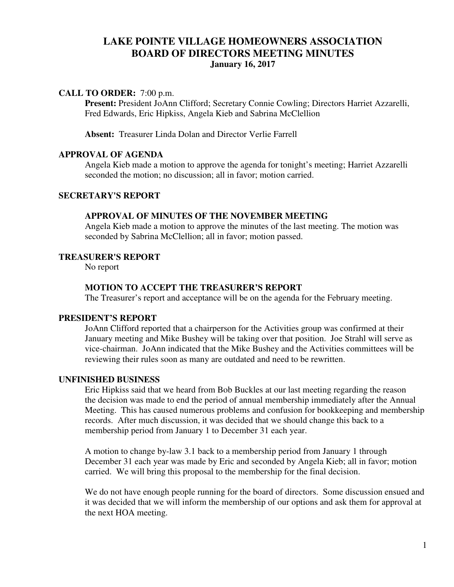# **LAKE POINTE VILLAGE HOMEOWNERS ASSOCIATION BOARD OF DIRECTORS MEETING MINUTES January 16, 2017**

### **CALL TO ORDER:** 7:00 p.m.

Present: President JoAnn Clifford; Secretary Connie Cowling; Directors Harriet Azzarelli, Fred Edwards, Eric Hipkiss, Angela Kieb and Sabrina McClellion

**Absent:** Treasurer Linda Dolan and Director Verlie Farrell

# **APPROVAL OF AGENDA**

Angela Kieb made a motion to approve the agenda for tonight's meeting; Harriet Azzarelli seconded the motion; no discussion; all in favor; motion carried.

# **SECRETARY'S REPORT**

### **APPROVAL OF MINUTES OF THE NOVEMBER MEETING**

Angela Kieb made a motion to approve the minutes of the last meeting. The motion was seconded by Sabrina McClellion; all in favor; motion passed.

### **TREASURER'S REPORT**

No report

### **MOTION TO ACCEPT THE TREASURER'S REPORT**

The Treasurer's report and acceptance will be on the agenda for the February meeting.

# **PRESIDENT'S REPORT**

 JoAnn Clifford reported that a chairperson for the Activities group was confirmed at their January meeting and Mike Bushey will be taking over that position. Joe Strahl will serve as vice-chairman. JoAnn indicated that the Mike Bushey and the Activities committees will be reviewing their rules soon as many are outdated and need to be rewritten.

#### **UNFINISHED BUSINESS**

 Eric Hipkiss said that we heard from Bob Buckles at our last meeting regarding the reason the decision was made to end the period of annual membership immediately after the Annual Meeting. This has caused numerous problems and confusion for bookkeeping and membership records. After much discussion, it was decided that we should change this back to a membership period from January 1 to December 31 each year.

A motion to change by-law 3.1 back to a membership period from January 1 through December 31 each year was made by Eric and seconded by Angela Kieb; all in favor; motion carried. We will bring this proposal to the membership for the final decision.

We do not have enough people running for the board of directors. Some discussion ensued and it was decided that we will inform the membership of our options and ask them for approval at the next HOA meeting.